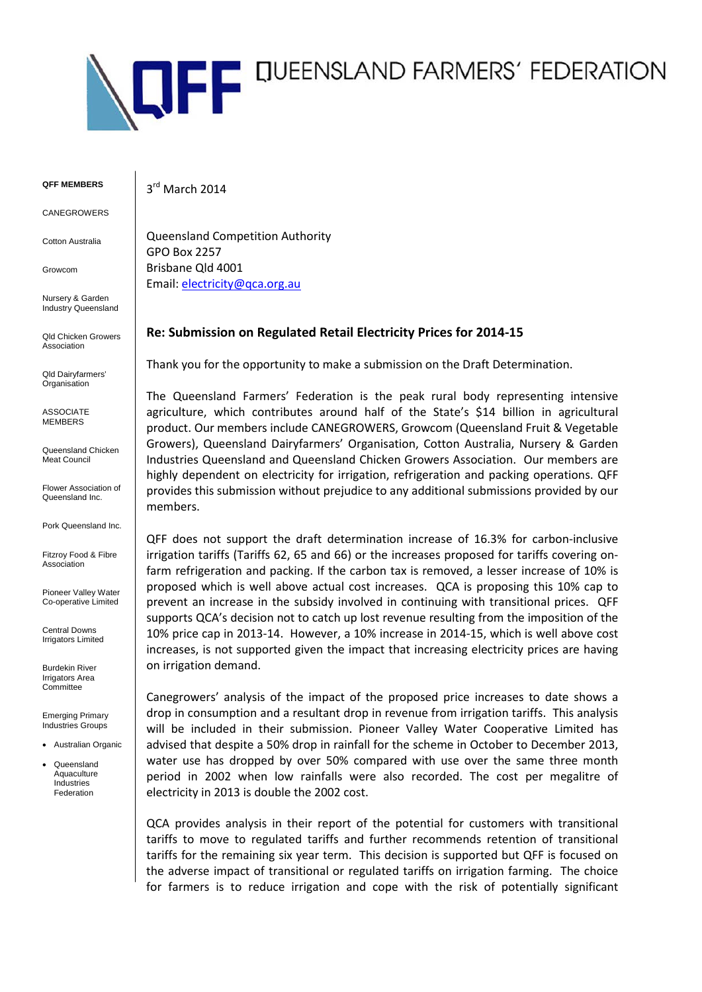

**QFF MEMBERS**

CANEGROWERS

Cotton Australia

Growcom

Nursery & Garden Industry Queensland

Qld Chicken Growers Association

Qld Dairyfarmers' **Organisation** 

ASSOCIATE MEMBERS

Queensland Chicken Meat Council

Flower Association of Queensland Inc.

Pork Queensland Inc.

Fitzroy Food & Fibre Association

Pioneer Valley Water Co-operative Limited

Central Downs Irrigators Limited

Burdekin River Irrigators Area **Committee** 

Emerging Primary Industries Groups

• Australian Organic

**Queensland** Aquaculture Industries Federation

3rd March 2014

Queensland Competition Authority GPO Box 2257 Brisbane Qld 4001 Email: [electricity@qca.org.au](mailto:electricity@qca.org.au)

## **Re: Submission on Regulated Retail Electricity Prices for 2014-15**

Thank you for the opportunity to make a submission on the Draft Determination.

The Queensland Farmers' Federation is the peak rural body representing intensive agriculture, which contributes around half of the State's \$14 billion in agricultural product. Our members include CANEGROWERS, Growcom (Queensland Fruit & Vegetable Growers), Queensland Dairyfarmers' Organisation, Cotton Australia, Nursery & Garden Industries Queensland and Queensland Chicken Growers Association. Our members are highly dependent on electricity for irrigation, refrigeration and packing operations. QFF provides this submission without prejudice to any additional submissions provided by our members.

QFF does not support the draft determination increase of 16.3% for carbon-inclusive irrigation tariffs (Tariffs 62, 65 and 66) or the increases proposed for tariffs covering onfarm refrigeration and packing. If the carbon tax is removed, a lesser increase of 10% is proposed which is well above actual cost increases. QCA is proposing this 10% cap to prevent an increase in the subsidy involved in continuing with transitional prices. QFF supports QCA's decision not to catch up lost revenue resulting from the imposition of the 10% price cap in 2013-14. However, a 10% increase in 2014-15, which is well above cost increases, is not supported given the impact that increasing electricity prices are having on irrigation demand.

Canegrowers' analysis of the impact of the proposed price increases to date shows a drop in consumption and a resultant drop in revenue from irrigation tariffs. This analysis will be included in their submission. Pioneer Valley Water Cooperative Limited has advised that despite a 50% drop in rainfall for the scheme in October to December 2013, water use has dropped by over 50% compared with use over the same three month period in 2002 when low rainfalls were also recorded. The cost per megalitre of electricity in 2013 is double the 2002 cost.

QCA provides analysis in their report of the potential for customers with transitional tariffs to move to regulated tariffs and further recommends retention of transitional tariffs for the remaining six year term. This decision is supported but QFF is focused on the adverse impact of transitional or regulated tariffs on irrigation farming. The choice for farmers is to reduce irrigation and cope with the risk of potentially significant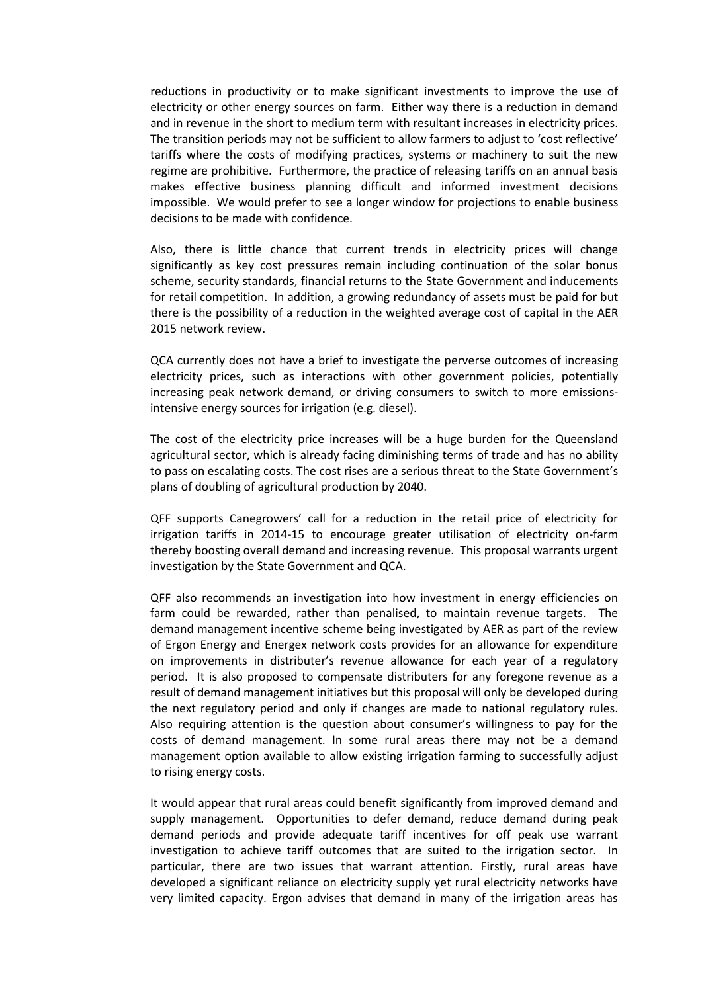reductions in productivity or to make significant investments to improve the use of electricity or other energy sources on farm. Either way there is a reduction in demand and in revenue in the short to medium term with resultant increases in electricity prices. The transition periods may not be sufficient to allow farmers to adjust to 'cost reflective' tariffs where the costs of modifying practices, systems or machinery to suit the new regime are prohibitive. Furthermore, the practice of releasing tariffs on an annual basis makes effective business planning difficult and informed investment decisions impossible. We would prefer to see a longer window for projections to enable business decisions to be made with confidence.

Also, there is little chance that current trends in electricity prices will change significantly as key cost pressures remain including continuation of the solar bonus scheme, security standards, financial returns to the State Government and inducements for retail competition. In addition, a growing redundancy of assets must be paid for but there is the possibility of a reduction in the weighted average cost of capital in the AER 2015 network review.

QCA currently does not have a brief to investigate the perverse outcomes of increasing electricity prices, such as interactions with other government policies, potentially increasing peak network demand, or driving consumers to switch to more emissionsintensive energy sources for irrigation (e.g. diesel).

The cost of the electricity price increases will be a huge burden for the Queensland agricultural sector, which is already facing diminishing terms of trade and has no ability to pass on escalating costs. The cost rises are a serious threat to the State Government's plans of doubling of agricultural production by 2040.

QFF supports Canegrowers' call for a reduction in the retail price of electricity for irrigation tariffs in 2014-15 to encourage greater utilisation of electricity on-farm thereby boosting overall demand and increasing revenue. This proposal warrants urgent investigation by the State Government and QCA.

QFF also recommends an investigation into how investment in energy efficiencies on farm could be rewarded, rather than penalised, to maintain revenue targets. The demand management incentive scheme being investigated by AER as part of the review of Ergon Energy and Energex network costs provides for an allowance for expenditure on improvements in distributer's revenue allowance for each year of a regulatory period. It is also proposed to compensate distributers for any foregone revenue as a result of demand management initiatives but this proposal will only be developed during the next regulatory period and only if changes are made to national regulatory rules. Also requiring attention is the question about consumer's willingness to pay for the costs of demand management. In some rural areas there may not be a demand management option available to allow existing irrigation farming to successfully adjust to rising energy costs.

It would appear that rural areas could benefit significantly from improved demand and supply management. Opportunities to defer demand, reduce demand during peak demand periods and provide adequate tariff incentives for off peak use warrant investigation to achieve tariff outcomes that are suited to the irrigation sector. In particular, there are two issues that warrant attention. Firstly, rural areas have developed a significant reliance on electricity supply yet rural electricity networks have very limited capacity. Ergon advises that demand in many of the irrigation areas has